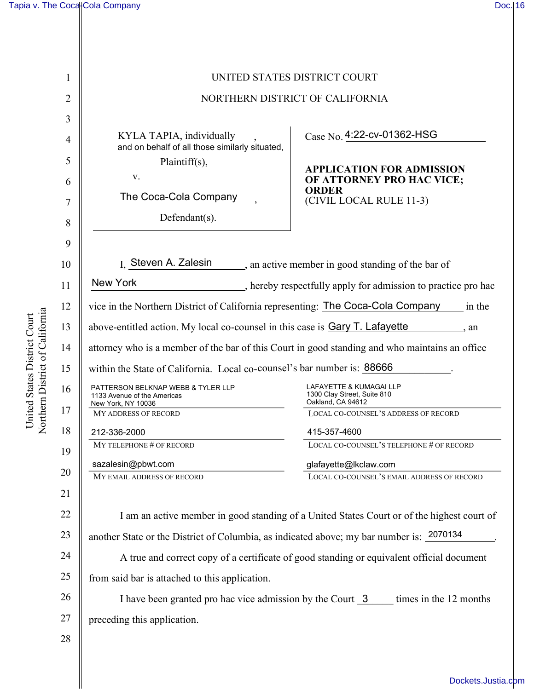| 1              | UNITED STATES DISTRICT COURT                                                                   |                                                                                        |  |
|----------------|------------------------------------------------------------------------------------------------|----------------------------------------------------------------------------------------|--|
| $\overline{2}$ | NORTHERN DISTRICT OF CALIFORNIA                                                                |                                                                                        |  |
| 3              |                                                                                                |                                                                                        |  |
| 4              | KYLA TAPIA, individually<br>and on behalf of all those similarly situated,                     | Case No. 4:22-cv-01362-HSG                                                             |  |
| 5              | Plaintiff(s),                                                                                  | <b>APPLICATION FOR ADMISSION</b>                                                       |  |
| 6              | V.                                                                                             | OF ATTORNEY PRO HAC VICE;<br><b>ORDER</b>                                              |  |
| 7              | The Coca-Cola Company                                                                          | (CIVIL LOCAL RULE 11-3)                                                                |  |
| 8              | Defendant(s).                                                                                  |                                                                                        |  |
| 9              |                                                                                                |                                                                                        |  |
| 10             | I. Steven A. Zalesin                                                                           | an active member in good standing of the bar of                                        |  |
|                | <b>New York</b>                                                                                |                                                                                        |  |
| 11             |                                                                                                | , hereby respectfully apply for admission to practice pro hac                          |  |
| 12             | vice in the Northern District of California representing: The Coca-Cola Company<br>in the      |                                                                                        |  |
| 13             | above-entitled action. My local co-counsel in this case is Gary T. Lafayette<br>, an           |                                                                                        |  |
| 14             | attorney who is a member of the bar of this Court in good standing and who maintains an office |                                                                                        |  |
| 15             | within the State of California. Local co-counsel's bar number is: 88666                        |                                                                                        |  |
| 16             | PATTERSON BELKNAP WEBB & TYLER LLP<br>1133 Avenue of the Americas<br>New York, NY 10036        | <b>LAFAYETTE &amp; KUMAGAI LLP</b><br>1300 Clay Street, Suite 810<br>Oakland, CA 94612 |  |
| 17             | <b>MY ADDRESS OF RECORD</b>                                                                    | LOCAL CO-COUNSEL'S ADDRESS OF RECORD                                                   |  |
| 18             | 212-336-2000                                                                                   | 415-357-4600                                                                           |  |
| 19             | MY TELEPHONE # OF RECORD                                                                       | LOCAL CO-COUNSEL'S TELEPHONE # OF RECORD                                               |  |
| 20             | sazalesin@pbwt.com                                                                             | glafayette@lkclaw.com                                                                  |  |
|                | MY EMAIL ADDRESS OF RECORD                                                                     | LOCAL CO-COUNSEL'S EMAIL ADDRESS OF RECORD                                             |  |
| 21             |                                                                                                |                                                                                        |  |
| 22             | I am an active member in good standing of a United States Court or of the highest court of     |                                                                                        |  |
| 23             | another State or the District of Columbia, as indicated above; my bar number is: 2070134       |                                                                                        |  |
| 24             | A true and correct copy of a certificate of good standing or equivalent official document      |                                                                                        |  |
| 25             | from said bar is attached to this application.                                                 |                                                                                        |  |
| 26             | I have been granted pro hac vice admission by the Court 3<br>times in the 12 months            |                                                                                        |  |
| 27             | preceding this application.                                                                    |                                                                                        |  |
| 28             |                                                                                                |                                                                                        |  |
|                |                                                                                                |                                                                                        |  |
|                |                                                                                                |                                                                                        |  |
|                |                                                                                                | Dockets.Justia.com                                                                     |  |

United States District Court<br>Northern District of California Northern District of California United States District Court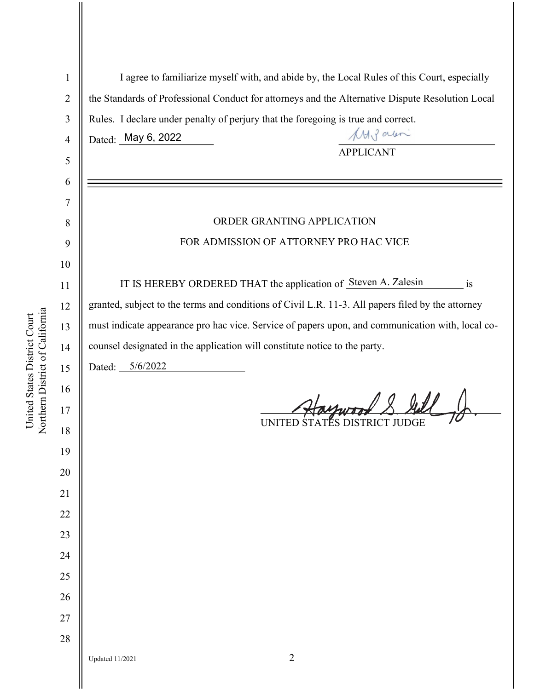| $\mathbf{1}$   | I agree to familiarize myself with, and abide by, the Local Rules of this Court, especially       |  |
|----------------|---------------------------------------------------------------------------------------------------|--|
| $\overline{2}$ | the Standards of Professional Conduct for attorneys and the Alternative Dispute Resolution Local  |  |
| 3              | Rules. I declare under penalty of perjury that the foregoing is true and correct.                 |  |
| $\overline{4}$ | MAJ alen<br>Dated: May 6, 2022                                                                    |  |
| 5              | <b>APPLICANT</b>                                                                                  |  |
| 6              |                                                                                                   |  |
| 7              |                                                                                                   |  |
| 8              | ORDER GRANTING APPLICATION                                                                        |  |
| 9              | FOR ADMISSION OF ATTORNEY PRO HAC VICE                                                            |  |
| 10             |                                                                                                   |  |
| 11             | IT IS HEREBY ORDERED THAT the application of Steven A. Zalesin<br>$\overline{1}$                  |  |
| 12             | granted, subject to the terms and conditions of Civil L.R. 11-3. All papers filed by the attorney |  |
| 13             | must indicate appearance pro hac vice. Service of papers upon, and communication with, local co-  |  |
| 14             | counsel designated in the application will constitute notice to the party.                        |  |
| 15             | Dated: 5/6/2022                                                                                   |  |
| 16             |                                                                                                   |  |
| 17             | Haywood & Gill                                                                                    |  |
| 18             | UNITED STATES DISTRICT JUDGE                                                                      |  |
| 19             |                                                                                                   |  |
| 20             |                                                                                                   |  |
| 21             |                                                                                                   |  |
| $22\,$         |                                                                                                   |  |
| 23             |                                                                                                   |  |
| 24             |                                                                                                   |  |
| 25             |                                                                                                   |  |
| 26             |                                                                                                   |  |
| 27             |                                                                                                   |  |
| 28             |                                                                                                   |  |
|                | $\overline{2}$<br><b>Updated 11/2021</b>                                                          |  |
|                |                                                                                                   |  |

United States District Court<br>Northern District of California Northern District of California United States District Court

Ш